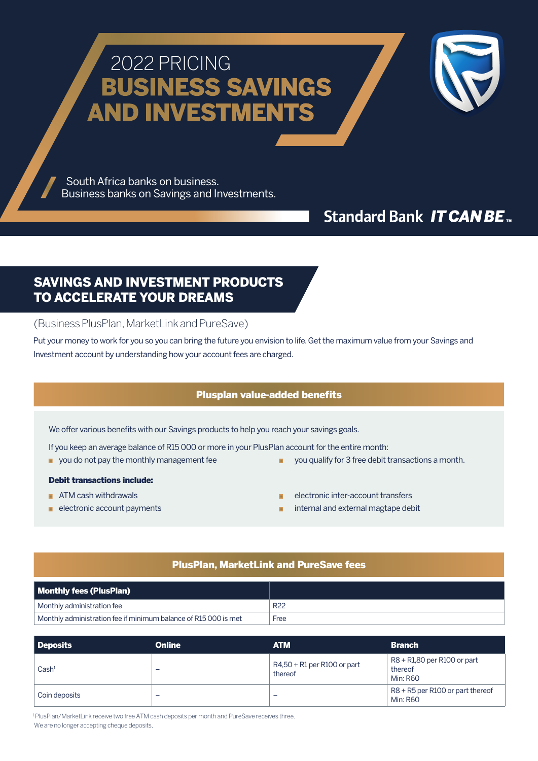# 2022 PRICING BUSINESS SAVINGS AND INVESTMENTS



 South Africa banks on business. Business banks on Savings and Investments.

# **Standard Bank IT CAN BE...**

### SAVINGS AND INVESTMENT PRODUCTS TO ACCELERATE YOUR DREAMS

(Business PlusPlan, MarketLink and PureSave)

Put your money to work for you so you can bring the future you envision to life. Get the maximum value from your Savings and Investment account by understanding how your account fees are charged.

#### Plusplan value-added benefits

We offer various benefits with our Savings products to help you reach your savings goals.

If you keep an average balance of R15 000 or more in your PlusPlan account for the entire month:

- 
- you do not pay the monthly management fee you qualify for 3 free debit transactions a month.

#### Debit transactions include:

- 
- 
- ATM cash withdrawals electronic inter-account transfers
- electronic account payments internal and external magtape debit

#### PlusPlan, MarketLink and PureSave fees

| <b>Monthly fees (PlusPlan)</b>                                 |                 |
|----------------------------------------------------------------|-----------------|
| Monthly administration fee                                     | R <sub>22</sub> |
| Monthly administration fee if minimum balance of R15000 is met | Free            |

| Deposits          | <b>Online</b> | <b>ATM</b>                               | <b>Branch</b>                                             |
|-------------------|---------------|------------------------------------------|-----------------------------------------------------------|
| Cash <sup>1</sup> | -             | $R4,50 + R1$ per R100 or part<br>thereof | R8 + R1,80 per R100 or part<br>thereof<br><b>Min: R60</b> |
| Coin deposits     | -             | $\overline{\phantom{0}}$                 | R8 + R5 per R100 or part thereof<br><b>Min: R60</b>       |

1 PlusPlan/MarketLink receive two free ATM cash deposits per month and PureSave receives three. We are no longer accepting cheque deposits.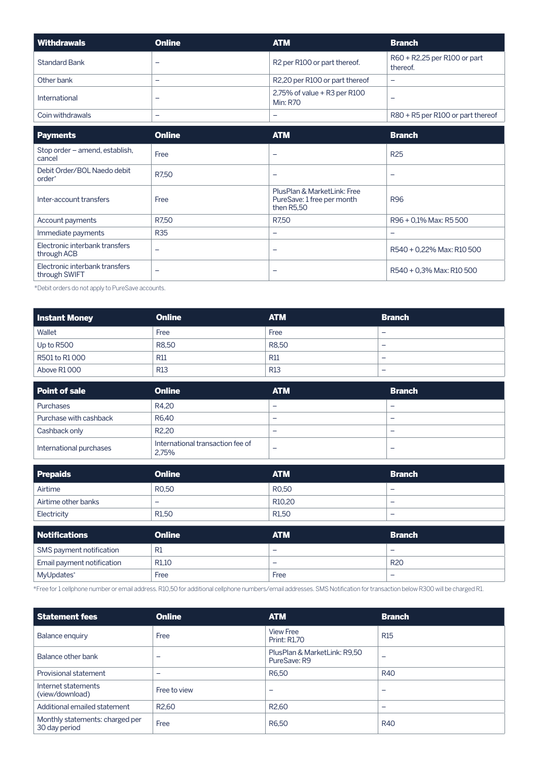| Withdrawals          | <b>Online</b> | <b>ATM</b>                                           | <b>Branch</b>                            |
|----------------------|---------------|------------------------------------------------------|------------------------------------------|
| <b>Standard Bank</b> |               | R <sub>2</sub> per R <sub>100</sub> or part thereof. | R60 + R2,25 per R100 or part<br>thereof. |
| Other bank           | -             | R2,20 per R100 or part thereof                       | -                                        |
| International        |               | 2,75% of value $+$ R3 per R100<br><b>Min: R70</b>    |                                          |
| Coin withdrawals     | -             | -                                                    | R80 + R5 per R100 or part thereof        |

| <b>Payments</b>                                   | <b>Online</b> | <b>ATM</b>                                                              | <b>Branch</b>             |
|---------------------------------------------------|---------------|-------------------------------------------------------------------------|---------------------------|
| Stop order - amend, establish,<br>cancel          | Free          | $\overline{\phantom{0}}$                                                | <b>R25</b>                |
| Debit Order/BOL Naedo debit<br>order <sup>*</sup> | R7.50         | $\overline{\phantom{0}}$                                                | -                         |
| Inter-account transfers                           | Free          | PlusPlan & MarketLink: Free<br>PureSave: 1 free per month<br>then R5.50 | <b>R96</b>                |
| Account payments                                  | R7,50         | R7,50                                                                   | R96 + 0.1% Max: R5 500    |
| Immediate payments                                | <b>R35</b>    | -                                                                       |                           |
| Electronic interbank transfers<br>through ACB     | -             | -                                                                       | R540 + 0.22% Max: R10 500 |
| Electronic interbank transfers<br>through SWIFT   |               | -                                                                       | R540 + 0.3% Max: R10 500  |

\*Debit orders do not apply to PureSave accounts.

| Instant Money | <b>Online</b> | <b>ATM</b> | <b>Branch</b>            |
|---------------|---------------|------------|--------------------------|
| Wallet        | Free          | Free       | -                        |
| Up to R500    | R8.50         | R8.50      | -                        |
| R501 to R1000 | <b>R11</b>    | <b>R11</b> | $\overline{\phantom{0}}$ |
| Above R1000   | <b>R13</b>    | <b>R13</b> | -                        |

| Point of sale           | <b>Online</b>                             | <b>ATM</b>               | <b>Branch</b> |
|-------------------------|-------------------------------------------|--------------------------|---------------|
| Purchases               | R4.20                                     | $\overline{\phantom{0}}$ |               |
| Purchase with cashback  | R6.40                                     | $\overline{\phantom{0}}$ | -             |
| Cashback only           | R <sub>2</sub> ,20                        | $\overline{\phantom{0}}$ |               |
| International purchases | International transaction fee of<br>2.75% | -                        |               |

| <b>Prepaids</b>          | <b>Online</b>      | <b>ATM</b>               | <b>Branch</b> |
|--------------------------|--------------------|--------------------------|---------------|
| Airtime                  | R <sub>0</sub> ,50 | R <sub>0</sub> ,50       | _             |
| Airtime other banks      | -                  | R <sub>10</sub> ,20      | -             |
| Electricity              | R <sub>1,50</sub>  | R <sub>1.50</sub>        | -             |
|                          |                    |                          |               |
|                          |                    |                          |               |
| <b>Notifications</b>     | <b>Online</b>      | <b>ATM</b>               | <b>Branch</b> |
| SMS payment notification | R1                 | $\overline{\phantom{0}}$ | -             |

\*Free for 1 cellphone number or email address. R10,50 for additional cellphone numbers/email addresses. SMS Notification for transaction below R300 will be charged R1.

MyUpdates\* Free Free –

| Statement fees                                   | <b>Online</b>            | <b>ATM</b>                                   | <b>Branch</b> |
|--------------------------------------------------|--------------------------|----------------------------------------------|---------------|
| <b>Balance enquiry</b>                           | Free                     | <b>View Free</b><br><b>Print: R1,70</b>      | <b>R15</b>    |
| Balance other bank                               | -                        | PlusPlan & MarketLink: R9,50<br>PureSave: R9 | -             |
| <b>Provisional statement</b>                     | $\overline{\phantom{0}}$ | R6,50                                        | <b>R40</b>    |
| Internet statements<br>(view/download)           | Free to view             |                                              | -             |
| Additional emailed statement                     | R <sub>2</sub> ,60       | R <sub>2</sub> ,60                           | -             |
| Monthly statements: charged per<br>30 day period | Free                     | R6,50                                        | <b>R40</b>    |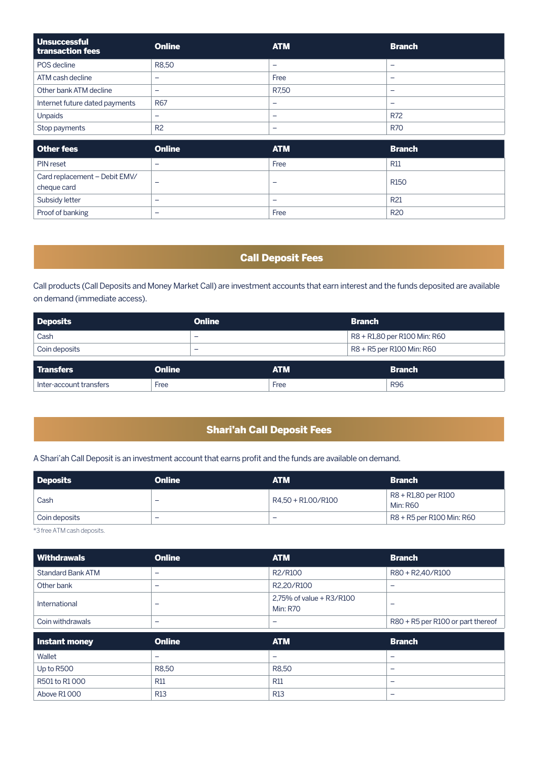| <b>Unsuccessful</b><br>transaction fees | <b>Online</b>  | <b>ATM</b>               | <b>Branch</b> |
|-----------------------------------------|----------------|--------------------------|---------------|
| POS decline                             | R8,50          | -                        |               |
| ATM cash decline                        | -              | Free                     | -             |
| Other bank ATM decline                  | -              | R7.50                    | -             |
| Internet future dated payments          | R67            | $\overline{\phantom{0}}$ | -             |
| <b>Unpaids</b>                          | _              | -                        | R72           |
| Stop payments                           | R <sub>2</sub> | -                        | <b>R70</b>    |

| Other fees                                   | <b>Online</b>            | <b>ATM</b>               | <b>Branch</b>   |
|----------------------------------------------|--------------------------|--------------------------|-----------------|
| PIN reset                                    | -                        | Free                     | <b>R11</b>      |
| Card replacement - Debit EMV/<br>cheque card | -                        | $\overline{\phantom{0}}$ | <b>R150</b>     |
| Subsidy letter                               | -                        | -                        | R <sub>21</sub> |
| Proof of banking                             | $\overline{\phantom{0}}$ | Free                     | <b>R20</b>      |

#### Call Deposit Fees

Call products (Call Deposits and Money Market Call) are investment accounts that earn interest and the funds deposited are available on demand (immediate access).

| <b>Deposits</b>         | <b>Online</b>            |            | <b>Branch</b>                |
|-------------------------|--------------------------|------------|------------------------------|
| Cash                    | -                        |            | R8 + R1,80 per R100 Min: R60 |
| Coin deposits           | $\overline{\phantom{a}}$ |            | R8 + R5 per R100 Min: R60    |
| Transfers               | <b>Online</b>            | <b>ATM</b> | <b>Branch</b>                |
| Inter-account transfers | Free                     | Free       | <b>R96</b>                   |

#### Shari'ah Call Deposit Fees

A Shari'ah Call Deposit is an investment account that earns profit and the funds are available on demand.

| Deposits      | <b>Online</b> | <b>ATM</b>         | <b>Branch</b>                          |
|---------------|---------------|--------------------|----------------------------------------|
| Cash          | -             | R4.50 + R1.00/R100 | R8 + R1,80 per R100<br><b>Min: R60</b> |
| Coin deposits | -             | -                  | R8 + R5 per R100 Min: R60              |

\*3 free ATM cash deposits.

| Withdrawals              | <b>Online</b>            | <b>ATM</b>                                  | <b>Branch</b>                     |
|--------------------------|--------------------------|---------------------------------------------|-----------------------------------|
| <b>Standard Bank ATM</b> | $\overline{\phantom{0}}$ | R2/R100                                     | R80 + R2,40/R100                  |
| Other bank               | $\overline{\phantom{0}}$ | R2,20/R100                                  | -                                 |
| International            | $\overline{\phantom{0}}$ | 2.75% of value + R3/R100<br><b>Min: R70</b> | -                                 |
| Coin withdrawals         | $\overline{\phantom{0}}$ | -                                           | R80 + R5 per R100 or part thereof |
|                          |                          |                                             |                                   |
| Instant money            | <b>Online</b>            | <b>ATM</b>                                  | <b>Branch</b>                     |
| Wallet                   | $\overline{\phantom{0}}$ | -                                           | -                                 |
| Up to R500               | R8,50                    | R8,50                                       | -                                 |
| R501 to R1000            | <b>R11</b>               | <b>R11</b>                                  | -                                 |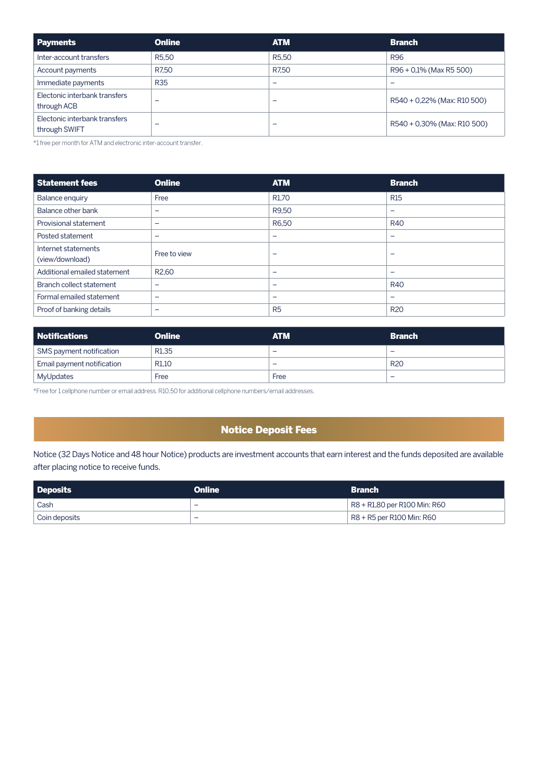| Payments                                       | <b>Online</b>      | <b>ATM</b>         | <b>Branch</b>               |
|------------------------------------------------|--------------------|--------------------|-----------------------------|
| Inter-account transfers                        | R <sub>5</sub> ,50 | R <sub>5</sub> ,50 | <b>R96</b>                  |
| Account payments                               | R7.50              | R7.50              | R96 + 0.1% (Max R5 500)     |
| Immediate payments                             | <b>R35</b>         | -                  | -                           |
| Electonic interbank transfers<br>through ACB   | -                  | -                  | R540 + 0,22% (Max: R10 500) |
| Electonic interbank transfers<br>through SWIFT | -                  | -                  | R540 + 0,30% (Max: R10 500) |

\*1 free per month for ATM and electronic inter-account transfer.

| <b>Statement fees</b>                  | <b>Online</b>            | <b>ATM</b>               | <b>Branch</b> |
|----------------------------------------|--------------------------|--------------------------|---------------|
| <b>Balance enquiry</b>                 | Free                     | R <sub>1,70</sub>        | <b>R15</b>    |
| Balance other bank                     | -                        | R9,50                    | -             |
| Provisional statement                  | $\overline{\phantom{0}}$ | R6,50                    | <b>R40</b>    |
| Posted statement                       | -                        | $\overline{\phantom{0}}$ | -             |
| Internet statements<br>(view/download) | Free to view             | -                        |               |
| Additional emailed statement           | R <sub>2</sub> ,60       | $\overline{\phantom{0}}$ | -             |
| Branch collect statement               | -                        | $\overline{\phantom{0}}$ | <b>R40</b>    |
| Formal emailed statement               | -                        | $\overline{\phantom{0}}$ |               |
| Proof of banking details               | -                        | R <sub>5</sub>           | <b>R20</b>    |

| Notifications              | <b>Online</b>     | <b>ATM</b>               | <b>Branch</b> |
|----------------------------|-------------------|--------------------------|---------------|
| SMS payment notification   | R <sub>1.35</sub> | $\overline{\phantom{a}}$ | -             |
| Email payment notification | R <sub>1.10</sub> | $\overline{\phantom{a}}$ | <b>R20</b>    |
| MyUpdates                  | Free              | Free                     | -             |

\*Free for 1 cellphone number or email address. R10,50 for additional cellphone numbers/email addresses.

#### Notice Deposit Fees

Notice (32 Days Notice and 48 hour Notice) products are investment accounts that earn interest and the funds deposited are available after placing notice to receive funds.

| <b>Deposits</b> | <b>Online</b>            | <b>Branch</b>                |
|-----------------|--------------------------|------------------------------|
| Cash            | $\overline{\phantom{0}}$ | R8 + R1,80 per R100 Min: R60 |
| Coin deposits   | $\overline{\phantom{0}}$ | R8 + R5 per R100 Min: R60    |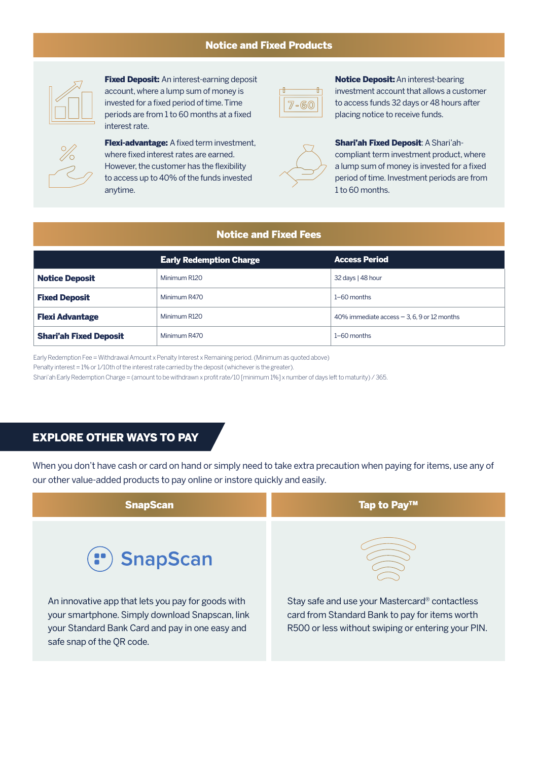#### Notice and Fixed Products



**Fixed Deposit:** An interest-earning deposit account, where a lump sum of money is invested for a fixed period of time. Time periods are from 1 to 60 months at a fixed interest rate.



**Flexi-advantage:** A fixed term investment, where fixed interest rates are earned. However, the customer has the flexibility to access up to 40% of the funds invested anytime.



**Notice Deposit:** An interest-bearing investment account that allows a customer to access funds 32 days or 48 hours after placing notice to receive funds.

Shari'ah Fixed Deposit: A Shari'ahcompliant term investment product, where a lump sum of money is invested for a fixed period of time. Investment periods are from 1 to 60 months.

#### Notice and Fixed Fees

|                               | <b>Early Redemption Charge</b> | <b>Access Period</b>                          |
|-------------------------------|--------------------------------|-----------------------------------------------|
| <b>Notice Deposit</b>         | Minimum R120                   | 32 days   48 hour                             |
| <b>Fixed Deposit</b>          | Minimum R470                   | $1-60$ months                                 |
| <b>Flexi Advantage</b>        | Minimum R120                   | 40% immediate access $-3$ , 6, 9 or 12 months |
| <b>Shari'ah Fixed Deposit</b> | Minimum R470                   | $1-60$ months                                 |

Early Redemption Fee = Withdrawal Amount x Penalty Interest x Remaining period. (Minimum as quoted above)

Penalty interest = 1% or 1/10th of the interest rate carried by the deposit (whichever is the greater).

Shari'ah Early Redemption Charge = (amount to be withdrawn x profit rate/10 [minimum 1%] x number of days left to maturity) / 365.

#### EXPLORE OTHER WAYS TO PAY

When you don't have cash or card on hand or simply need to take extra precaution when paying for items, use any of our other value-added products to pay online or instore quickly and easily.

| <b>SnapScan</b>                                                                                                                                                                       | Tap to Pay™                                                                                                                                            |
|---------------------------------------------------------------------------------------------------------------------------------------------------------------------------------------|--------------------------------------------------------------------------------------------------------------------------------------------------------|
| (") SnapScan                                                                                                                                                                          |                                                                                                                                                        |
| An innovative app that lets you pay for goods with<br>your smartphone. Simply download Snapscan, link<br>your Standard Bank Card and pay in one easy and<br>safe snap of the QR code. | Stay safe and use your Mastercard® contactless<br>card from Standard Bank to pay for items worth<br>R500 or less without swiping or entering your PIN. |